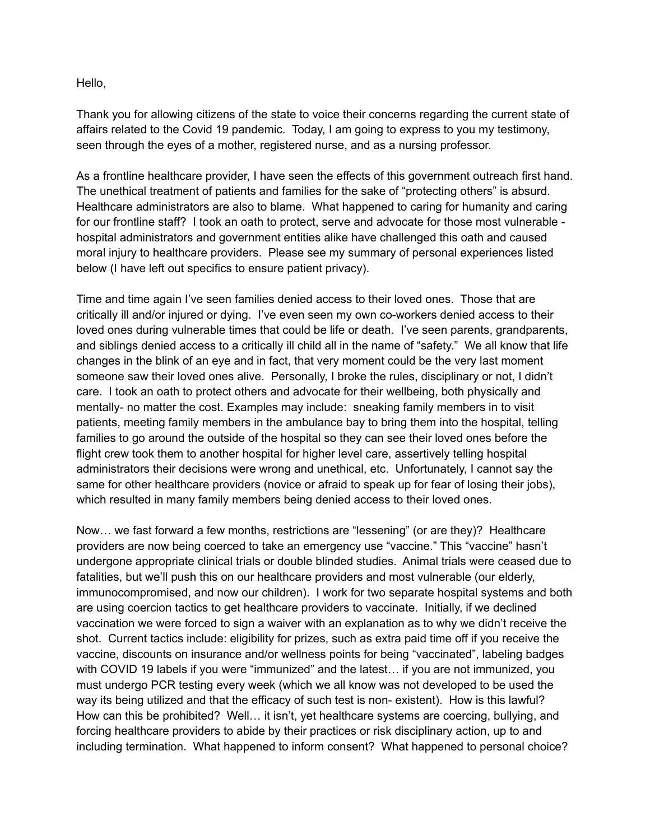Hello,

Thank you for allowing citizens of the state to voice their concerns regarding the current state of affairs related to the Covid 19 pandemic. Today, I am going to express to you my testimony, seen through the eyes of a mother, registered nurse, and as a nursing professor.

As a frontline healthcare provider, I have seen the effects of this government outreach first hand. The unethical treatment of patients and families for the sake of "protecting others" is absurd. Healthcare administrators are also to blame. What happened to caring for humanity and caring for our frontline staff? I took an oath to protect, serve and advocate for those most vulnerable hospital administrators and government entities alike have challenged this oath and caused moral injury to healthcare providers. Please see my summary of personal experiences listed below (I have left out specifics to ensure patient privacy).

Time and time again I've seen families denied access to their loved ones. Those that are critically ill and/or injured or dying. I've even seen my own co-workers denied access to their loved ones during vulnerable times that could be life or death. I've seen parents, grandparents, and siblings denied access to a critically ill child all in the name of "safety." We all know that life changes in the blink of an eye and in fact, that very moment could be the very last moment someone saw their loved ones alive. Personally, I broke the rules, disciplinary or not, I didn't care. I took an oath to protect others and advocate for their wellbeing, both physically and mentally- no matter the cost. Examples may include: sneaking family members in to visit patients, meeting family members in the ambulance bay to bring them into the hospital, telling families to go around the outside of the hospital so they can see their loved ones before the flight crew took them to another hospital for higher level care, assertively telling hospital administrators their decisions were wrong and unethical, etc. Unfortunately, I cannot say the same for other healthcare providers (novice or afraid to speak up for fear of losing their jobs), which resulted in many family members being denied access to their loved ones.

Now… we fast forward a few months, restrictions are "lessening" (or are they)? Healthcare providers are now being coerced to take an emergency use "vaccine." This "vaccine" hasn't undergone appropriate clinical trials or double blinded studies. Animal trials were ceased due to fatalities, but we'll push this on our healthcare providers and most vulnerable (our elderly, immunocompromised, and now our children). I work for two separate hospital systems and both are using coercion tactics to get healthcare providers to vaccinate. Initially, if we declined vaccination we were forced to sign a waiver with an explanation as to why we didn't receive the shot. Current tactics include: eligibility for prizes, such as extra paid time off if you receive the vaccine, discounts on insurance and/or wellness points for being "vaccinated", labeling badges with COVID 19 labels if you were "immunized" and the latest… if you are not immunized, you must undergo PCR testing every week (which we all know was not developed to be used the way its being utilized and that the efficacy of such test is non- existent). How is this lawful? How can this be prohibited? Well… it isn't, yet healthcare systems are coercing, bullying, and forcing healthcare providers to abide by their practices or risk disciplinary action, up to and including termination. What happened to inform consent? What happened to personal choice?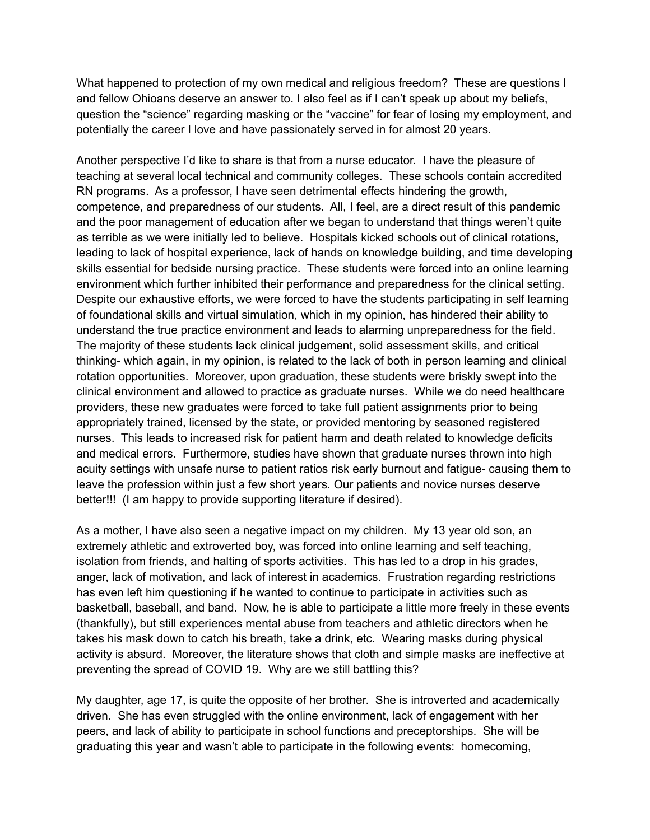What happened to protection of my own medical and religious freedom? These are questions I and fellow Ohioans deserve an answer to. I also feel as if I can't speak up about my beliefs, question the "science" regarding masking or the "vaccine" for fear of losing my employment, and potentially the career I love and have passionately served in for almost 20 years.

Another perspective I'd like to share is that from a nurse educator. I have the pleasure of teaching at several local technical and community colleges. These schools contain accredited RN programs. As a professor, I have seen detrimental effects hindering the growth, competence, and preparedness of our students. All, I feel, are a direct result of this pandemic and the poor management of education after we began to understand that things weren't quite as terrible as we were initially led to believe. Hospitals kicked schools out of clinical rotations, leading to lack of hospital experience, lack of hands on knowledge building, and time developing skills essential for bedside nursing practice. These students were forced into an online learning environment which further inhibited their performance and preparedness for the clinical setting. Despite our exhaustive efforts, we were forced to have the students participating in self learning of foundational skills and virtual simulation, which in my opinion, has hindered their ability to understand the true practice environment and leads to alarming unpreparedness for the field. The majority of these students lack clinical judgement, solid assessment skills, and critical thinking- which again, in my opinion, is related to the lack of both in person learning and clinical rotation opportunities. Moreover, upon graduation, these students were briskly swept into the clinical environment and allowed to practice as graduate nurses. While we do need healthcare providers, these new graduates were forced to take full patient assignments prior to being appropriately trained, licensed by the state, or provided mentoring by seasoned registered nurses. This leads to increased risk for patient harm and death related to knowledge deficits and medical errors. Furthermore, studies have shown that graduate nurses thrown into high acuity settings with unsafe nurse to patient ratios risk early burnout and fatigue- causing them to leave the profession within just a few short years. Our patients and novice nurses deserve better!!! (I am happy to provide supporting literature if desired).

As a mother, I have also seen a negative impact on my children. My 13 year old son, an extremely athletic and extroverted boy, was forced into online learning and self teaching, isolation from friends, and halting of sports activities. This has led to a drop in his grades, anger, lack of motivation, and lack of interest in academics. Frustration regarding restrictions has even left him questioning if he wanted to continue to participate in activities such as basketball, baseball, and band. Now, he is able to participate a little more freely in these events (thankfully), but still experiences mental abuse from teachers and athletic directors when he takes his mask down to catch his breath, take a drink, etc. Wearing masks during physical activity is absurd. Moreover, the literature shows that cloth and simple masks are ineffective at preventing the spread of COVID 19. Why are we still battling this?

My daughter, age 17, is quite the opposite of her brother. She is introverted and academically driven. She has even struggled with the online environment, lack of engagement with her peers, and lack of ability to participate in school functions and preceptorships. She will be graduating this year and wasn't able to participate in the following events: homecoming,